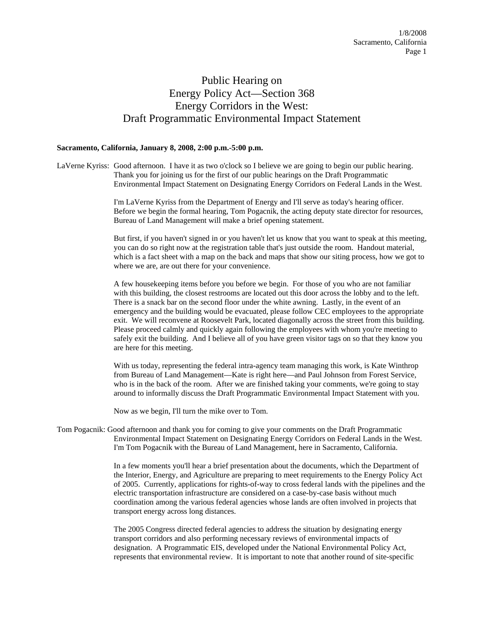## Public Hearing on Energy Policy Act—Section 368 Energy Corridors in the West: Draft Programmatic Environmental Impact Statement

## **Sacramento, California, January 8, 2008, 2:00 p.m.-5:00 p.m.**

LaVerne Kyriss: Good afternoon. I have it as two o'clock so I believe we are going to begin our public hearing. Thank you for joining us for the first of our public hearings on the Draft Programmatic Environmental Impact Statement on Designating Energy Corridors on Federal Lands in the West.

> I'm LaVerne Kyriss from the Department of Energy and I'll serve as today's hearing officer. Before we begin the formal hearing, Tom Pogacnik, the acting deputy state director for resources, Bureau of Land Management will make a brief opening statement.

But first, if you haven't signed in or you haven't let us know that you want to speak at this meeting, you can do so right now at the registration table that's just outside the room. Handout material, which is a fact sheet with a map on the back and maps that show our siting process, how we got to where we are, are out there for your convenience.

A few housekeeping items before you before we begin. For those of you who are not familiar with this building, the closest restrooms are located out this door across the lobby and to the left. There is a snack bar on the second floor under the white awning. Lastly, in the event of an emergency and the building would be evacuated, please follow CEC employees to the appropriate exit. We will reconvene at Roosevelt Park, located diagonally across the street from this building. Please proceed calmly and quickly again following the employees with whom you're meeting to safely exit the building. And I believe all of you have green visitor tags on so that they know you are here for this meeting.

With us today, representing the federal intra-agency team managing this work, is Kate Winthrop from Bureau of Land Management—Kate is right here—and Paul Johnson from Forest Service, who is in the back of the room. After we are finished taking your comments, we're going to stay around to informally discuss the Draft Programmatic Environmental Impact Statement with you.

Now as we begin, I'll turn the mike over to Tom.

Tom Pogacnik: Good afternoon and thank you for coming to give your comments on the Draft Programmatic Environmental Impact Statement on Designating Energy Corridors on Federal Lands in the West. I'm Tom Pogacnik with the Bureau of Land Management, here in Sacramento, California.

> In a few moments you'll hear a brief presentation about the documents, which the Department of the Interior, Energy, and Agriculture are preparing to meet requirements to the Energy Policy Act of 2005. Currently, applications for rights-of-way to cross federal lands with the pipelines and the electric transportation infrastructure are considered on a case-by-case basis without much coordination among the various federal agencies whose lands are often involved in projects that transport energy across long distances.

The 2005 Congress directed federal agencies to address the situation by designating energy transport corridors and also performing necessary reviews of environmental impacts of designation. A Programmatic EIS, developed under the National Environmental Policy Act, represents that environmental review. It is important to note that another round of site-specific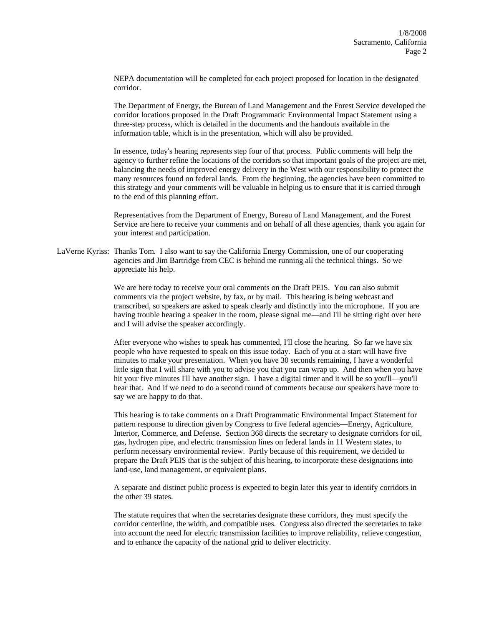NEPA documentation will be completed for each project proposed for location in the designated corridor.

The Department of Energy, the Bureau of Land Management and the Forest Service developed the corridor locations proposed in the Draft Programmatic Environmental Impact Statement using a three-step process, which is detailed in the documents and the handouts available in the information table, which is in the presentation, which will also be provided.

In essence, today's hearing represents step four of that process. Public comments will help the agency to further refine the locations of the corridors so that important goals of the project are met, balancing the needs of improved energy delivery in the West with our responsibility to protect the many resources found on federal lands. From the beginning, the agencies have been committed to this strategy and your comments will be valuable in helping us to ensure that it is carried through to the end of this planning effort.

Representatives from the Department of Energy, Bureau of Land Management, and the Forest Service are here to receive your comments and on behalf of all these agencies, thank you again for your interest and participation.

LaVerne Kyriss: Thanks Tom. I also want to say the California Energy Commission, one of our cooperating agencies and Jim Bartridge from CEC is behind me running all the technical things. So we appreciate his help.

> We are here today to receive your oral comments on the Draft PEIS. You can also submit comments via the project website, by fax, or by mail. This hearing is being webcast and transcribed, so speakers are asked to speak clearly and distinctly into the microphone. If you are having trouble hearing a speaker in the room, please signal me—and I'll be sitting right over here and I will advise the speaker accordingly.

> After everyone who wishes to speak has commented, I'll close the hearing. So far we have six people who have requested to speak on this issue today. Each of you at a start will have five minutes to make your presentation. When you have 30 seconds remaining, I have a wonderful little sign that I will share with you to advise you that you can wrap up. And then when you have hit your five minutes I'll have another sign. I have a digital timer and it will be so you'll—you'll hear that. And if we need to do a second round of comments because our speakers have more to say we are happy to do that.

> This hearing is to take comments on a Draft Programmatic Environmental Impact Statement for pattern response to direction given by Congress to five federal agencies—Energy, Agriculture, Interior, Commerce, and Defense. Section 368 directs the secretary to designate corridors for oil, gas, hydrogen pipe, and electric transmission lines on federal lands in 11 Western states, to perform necessary environmental review. Partly because of this requirement, we decided to prepare the Draft PEIS that is the subject of this hearing, to incorporate these designations into land-use, land management, or equivalent plans.

A separate and distinct public process is expected to begin later this year to identify corridors in the other 39 states.

The statute requires that when the secretaries designate these corridors, they must specify the corridor centerline, the width, and compatible uses. Congress also directed the secretaries to take into account the need for electric transmission facilities to improve reliability, relieve congestion, and to enhance the capacity of the national grid to deliver electricity.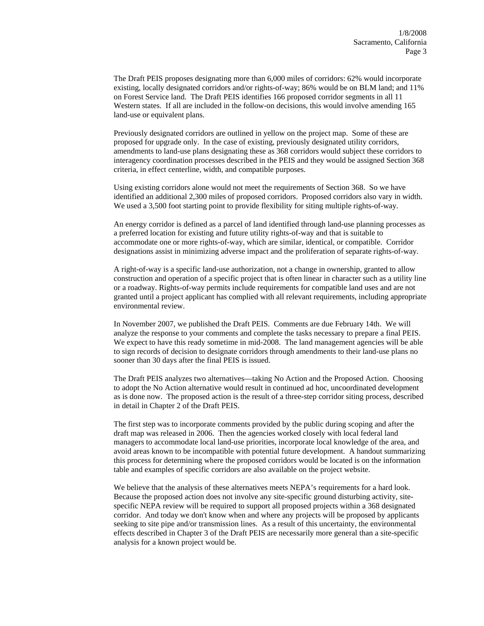The Draft PEIS proposes designating more than 6,000 miles of corridors: 62% would incorporate existing, locally designated corridors and/or rights-of-way; 86% would be on BLM land; and 11% on Forest Service land. The Draft PEIS identifies 166 proposed corridor segments in all 11 Western states. If all are included in the follow-on decisions, this would involve amending 165 land-use or equivalent plans.

Previously designated corridors are outlined in yellow on the project map. Some of these are proposed for upgrade only. In the case of existing, previously designated utility corridors, amendments to land-use plans designating these as 368 corridors would subject these corridors to interagency coordination processes described in the PEIS and they would be assigned Section 368 criteria, in effect centerline, width, and compatible purposes.

Using existing corridors alone would not meet the requirements of Section 368. So we have identified an additional 2,300 miles of proposed corridors. Proposed corridors also vary in width. We used a 3,500 foot starting point to provide flexibility for siting multiple rights-of-way.

An energy corridor is defined as a parcel of land identified through land-use planning processes as a preferred location for existing and future utility rights-of-way and that is suitable to accommodate one or more rights-of-way, which are similar, identical, or compatible. Corridor designations assist in minimizing adverse impact and the proliferation of separate rights-of-way.

A right-of-way is a specific land-use authorization, not a change in ownership, granted to allow construction and operation of a specific project that is often linear in character such as a utility line or a roadway. Rights-of-way permits include requirements for compatible land uses and are not granted until a project applicant has complied with all relevant requirements, including appropriate environmental review.

In November 2007, we published the Draft PEIS. Comments are due February 14th. We will analyze the response to your comments and complete the tasks necessary to prepare a final PEIS. We expect to have this ready sometime in mid-2008. The land management agencies will be able to sign records of decision to designate corridors through amendments to their land-use plans no sooner than 30 days after the final PEIS is issued.

The Draft PEIS analyzes two alternatives—taking No Action and the Proposed Action. Choosing to adopt the No Action alternative would result in continued ad hoc, uncoordinated development as is done now. The proposed action is the result of a three-step corridor siting process, described in detail in Chapter 2 of the Draft PEIS.

The first step was to incorporate comments provided by the public during scoping and after the draft map was released in 2006. Then the agencies worked closely with local federal land managers to accommodate local land-use priorities, incorporate local knowledge of the area, and avoid areas known to be incompatible with potential future development. A handout summarizing this process for determining where the proposed corridors would be located is on the information table and examples of specific corridors are also available on the project website.

We believe that the analysis of these alternatives meets NEPA's requirements for a hard look. Because the proposed action does not involve any site-specific ground disturbing activity, sitespecific NEPA review will be required to support all proposed projects within a 368 designated corridor. And today we don't know when and where any projects will be proposed by applicants seeking to site pipe and/or transmission lines. As a result of this uncertainty, the environmental effects described in Chapter 3 of the Draft PEIS are necessarily more general than a site-specific analysis for a known project would be.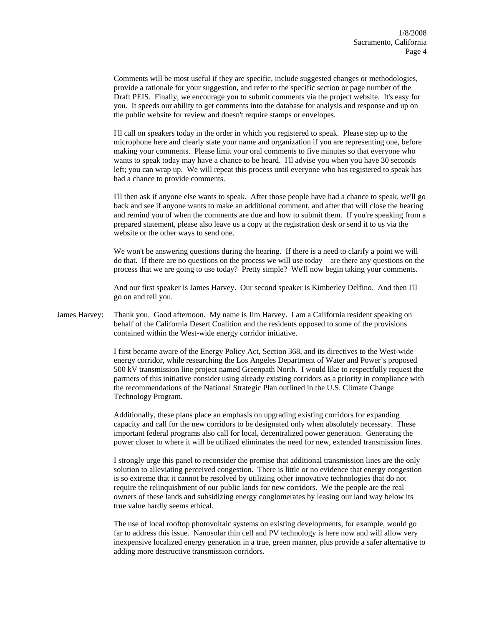Comments will be most useful if they are specific, include suggested changes or methodologies, provide a rationale for your suggestion, and refer to the specific section or page number of the Draft PEIS. Finally, we encourage you to submit comments via the project website. It's easy for you. It speeds our ability to get comments into the database for analysis and response and up on the public website for review and doesn't require stamps or envelopes.

I'll call on speakers today in the order in which you registered to speak. Please step up to the microphone here and clearly state your name and organization if you are representing one, before making your comments. Please limit your oral comments to five minutes so that everyone who wants to speak today may have a chance to be heard. I'll advise you when you have 30 seconds left; you can wrap up. We will repeat this process until everyone who has registered to speak has had a chance to provide comments.

I'll then ask if anyone else wants to speak. After those people have had a chance to speak, we'll go back and see if anyone wants to make an additional comment, and after that will close the hearing and remind you of when the comments are due and how to submit them. If you're speaking from a prepared statement, please also leave us a copy at the registration desk or send it to us via the website or the other ways to send one.

We won't be answering questions during the hearing. If there is a need to clarify a point we will do that. If there are no questions on the process we will use today—are there any questions on the process that we are going to use today? Pretty simple? We'll now begin taking your comments.

And our first speaker is James Harvey. Our second speaker is Kimberley Delfino. And then I'll go on and tell you.

James Harvey: Thank you. Good afternoon. My name is Jim Harvey. I am a California resident speaking on behalf of the California Desert Coalition and the residents opposed to some of the provisions contained within the West-wide energy corridor initiative.

> I first became aware of the Energy Policy Act, Section 368, and its directives to the West-wide energy corridor, while researching the Los Angeles Department of Water and Power's proposed 500 kV transmission line project named Greenpath North. I would like to respectfully request the partners of this initiative consider using already existing corridors as a priority in compliance with the recommendations of the National Strategic Plan outlined in the U.S. Climate Change Technology Program.

> Additionally, these plans place an emphasis on upgrading existing corridors for expanding capacity and call for the new corridors to be designated only when absolutely necessary. These important federal programs also call for local, decentralized power generation. Generating the power closer to where it will be utilized eliminates the need for new, extended transmission lines.

> I strongly urge this panel to reconsider the premise that additional transmission lines are the only solution to alleviating perceived congestion. There is little or no evidence that energy congestion is so extreme that it cannot be resolved by utilizing other innovative technologies that do not require the relinquishment of our public lands for new corridors. We the people are the real owners of these lands and subsidizing energy conglomerates by leasing our land way below its true value hardly seems ethical.

The use of local rooftop photovoltaic systems on existing developments, for example, would go far to address this issue. Nanosolar thin cell and PV technology is here now and will allow very inexpensive localized energy generation in a true, green manner, plus provide a safer alternative to adding more destructive transmission corridors.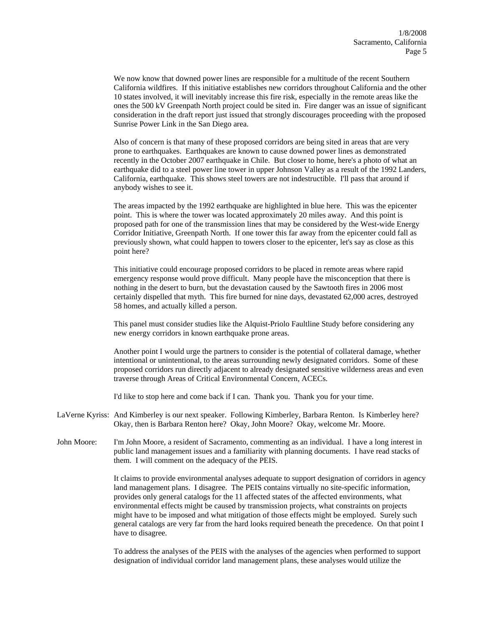We now know that downed power lines are responsible for a multitude of the recent Southern California wildfires. If this initiative establishes new corridors throughout California and the other 10 states involved, it will inevitably increase this fire risk, especially in the remote areas like the ones the 500 kV Greenpath North project could be sited in. Fire danger was an issue of significant consideration in the draft report just issued that strongly discourages proceeding with the proposed Sunrise Power Link in the San Diego area.

Also of concern is that many of these proposed corridors are being sited in areas that are very prone to earthquakes. Earthquakes are known to cause downed power lines as demonstrated recently in the October 2007 earthquake in Chile. But closer to home, here's a photo of what an earthquake did to a steel power line tower in upper Johnson Valley as a result of the 1992 Landers, California, earthquake. This shows steel towers are not indestructible. I'll pass that around if anybody wishes to see it.

The areas impacted by the 1992 earthquake are highlighted in blue here. This was the epicenter point. This is where the tower was located approximately 20 miles away. And this point is proposed path for one of the transmission lines that may be considered by the West-wide Energy Corridor Initiative, Greenpath North. If one tower this far away from the epicenter could fall as previously shown, what could happen to towers closer to the epicenter, let's say as close as this point here?

This initiative could encourage proposed corridors to be placed in remote areas where rapid emergency response would prove difficult. Many people have the misconception that there is nothing in the desert to burn, but the devastation caused by the Sawtooth fires in 2006 most certainly dispelled that myth. This fire burned for nine days, devastated 62,000 acres, destroyed 58 homes, and actually killed a person.

This panel must consider studies like the Alquist-Priolo Faultline Study before considering any new energy corridors in known earthquake prone areas.

Another point I would urge the partners to consider is the potential of collateral damage, whether intentional or unintentional, to the areas surrounding newly designated corridors. Some of these proposed corridors run directly adjacent to already designated sensitive wilderness areas and even traverse through Areas of Critical Environmental Concern, ACECs.

I'd like to stop here and come back if I can. Thank you. Thank you for your time.

- LaVerne Kyriss: And Kimberley is our next speaker. Following Kimberley, Barbara Renton. Is Kimberley here? Okay, then is Barbara Renton here? Okay, John Moore? Okay, welcome Mr. Moore.
- John Moore: I'm John Moore, a resident of Sacramento, commenting as an individual. I have a long interest in public land management issues and a familiarity with planning documents. I have read stacks of them. I will comment on the adequacy of the PEIS.

It claims to provide environmental analyses adequate to support designation of corridors in agency land management plans. I disagree. The PEIS contains virtually no site-specific information, provides only general catalogs for the 11 affected states of the affected environments, what environmental effects might be caused by transmission projects, what constraints on projects might have to be imposed and what mitigation of those effects might be employed. Surely such general catalogs are very far from the hard looks required beneath the precedence. On that point I have to disagree.

To address the analyses of the PEIS with the analyses of the agencies when performed to support designation of individual corridor land management plans, these analyses would utilize the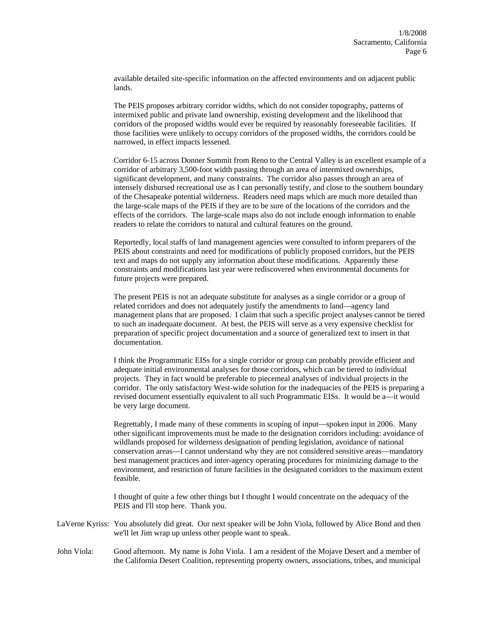available detailed site-specific information on the affected environments and on adjacent public lands.

The PEIS proposes arbitrary corridor widths, which do not consider topography, patterns of intermixed public and private land ownership, existing development and the likelihood that corridors of the proposed widths would ever be required by reasonably foreseeable facilities. If those facilities were unlikely to occupy corridors of the proposed widths, the corridors could be narrowed, in effect impacts lessened.

Corridor 6-15 across Donner Summit from Reno to the Central Valley is an excellent example of a corridor of arbitrary 3,500-foot width passing through an area of intermixed ownerships, significant development, and many constraints. The corridor also passes through an area of intensely disbursed recreational use as I can personally testify, and close to the southern boundary of the Chesapeake potential wilderness. Readers need maps which are much more detailed than the large-scale maps of the PEIS if they are to be sure of the locations of the corridors and the effects of the corridors. The large-scale maps also do not include enough information to enable readers to relate the corridors to natural and cultural features on the ground.

Reportedly, local staffs of land management agencies were consulted to inform preparers of the PEIS about constraints and need for modifications of publicly proposed corridors, but the PEIS text and maps do not supply any information about these modifications. Apparently these constraints and modifications last year were rediscovered when environmental documents for future projects were prepared.

The present PEIS is not an adequate substitute for analyses as a single corridor or a group of related corridors and does not adequately justify the amendments to land—agency land management plans that are proposed. I claim that such a specific project analyses cannot be tiered to such an inadequate document. At best, the PEIS will serve as a very expensive checklist for preparation of specific project documentation and a source of generalized text to insert in that documentation.

I think the Programmatic EISs for a single corridor or group can probably provide efficient and adequate initial environmental analyses for those corridors, which can be tiered to individual projects. They in fact would be preferable to piecemeal analyses of individual projects in the corridor. The only satisfactory West-wide solution for the inadequacies of the PEIS is preparing a revised document essentially equivalent to all such Programmatic EISs. It would be a—it would be very large document.

Regrettably, I made many of these comments in scoping of input—spoken input in 2006. Many other significant improvements must be made to the designation corridors including: avoidance of wildlands proposed for wilderness designation of pending legislation, avoidance of national conservation areas—I cannot understand why they are not considered sensitive areas—mandatory best management practices and inter-agency operating procedures for minimizing damage to the environment, and restriction of future facilities in the designated corridors to the maximum extent feasible.

I thought of quite a few other things but I thought I would concentrate on the adequacy of the PEIS and I'll stop here. Thank you.

- LaVerne Kyriss: You absolutely did great. Our next speaker will be John Viola, followed by Alice Bond and then we'll let Jim wrap up unless other people want to speak.
- John Viola: Good afternoon. My name is John Viola. I am a resident of the Mojave Desert and a member of the California Desert Coalition, representing property owners, associations, tribes, and municipal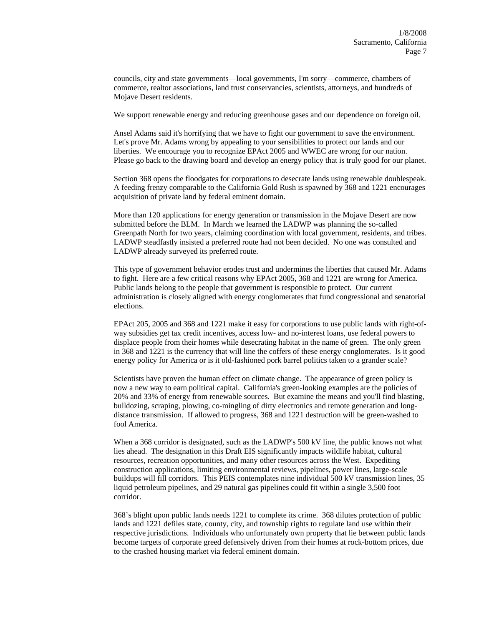councils, city and state governments—local governments, I'm sorry—commerce, chambers of commerce, realtor associations, land trust conservancies, scientists, attorneys, and hundreds of Mojave Desert residents.

We support renewable energy and reducing greenhouse gases and our dependence on foreign oil.

Ansel Adams said it's horrifying that we have to fight our government to save the environment. Let's prove Mr. Adams wrong by appealing to your sensibilities to protect our lands and our liberties. We encourage you to recognize EPAct 2005 and WWEC are wrong for our nation. Please go back to the drawing board and develop an energy policy that is truly good for our planet.

Section 368 opens the floodgates for corporations to desecrate lands using renewable doublespeak. A feeding frenzy comparable to the California Gold Rush is spawned by 368 and 1221 encourages acquisition of private land by federal eminent domain.

More than 120 applications for energy generation or transmission in the Mojave Desert are now submitted before the BLM. In March we learned the LADWP was planning the so-called Greenpath North for two years, claiming coordination with local government, residents, and tribes. LADWP steadfastly insisted a preferred route had not been decided. No one was consulted and LADWP already surveyed its preferred route.

This type of government behavior erodes trust and undermines the liberties that caused Mr. Adams to fight. Here are a few critical reasons why EPAct 2005, 368 and 1221 are wrong for America. Public lands belong to the people that government is responsible to protect. Our current administration is closely aligned with energy conglomerates that fund congressional and senatorial elections.

EPAct 205, 2005 and 368 and 1221 make it easy for corporations to use public lands with right-ofway subsidies get tax credit incentives, access low- and no-interest loans, use federal powers to displace people from their homes while desecrating habitat in the name of green. The only green in 368 and 1221 is the currency that will line the coffers of these energy conglomerates. Is it good energy policy for America or is it old-fashioned pork barrel politics taken to a grander scale?

Scientists have proven the human effect on climate change. The appearance of green policy is now a new way to earn political capital. California's green-looking examples are the policies of 20% and 33% of energy from renewable sources. But examine the means and you'll find blasting, bulldozing, scraping, plowing, co-mingling of dirty electronics and remote generation and longdistance transmission. If allowed to progress, 368 and 1221 destruction will be green-washed to fool America.

When a 368 corridor is designated, such as the LADWP's 500 kV line, the public knows not what lies ahead. The designation in this Draft EIS significantly impacts wildlife habitat, cultural resources, recreation opportunities, and many other resources across the West. Expediting construction applications, limiting environmental reviews, pipelines, power lines, large-scale buildups will fill corridors. This PEIS contemplates nine individual 500 kV transmission lines, 35 liquid petroleum pipelines, and 29 natural gas pipelines could fit within a single 3,500 foot corridor.

368's blight upon public lands needs 1221 to complete its crime. 368 dilutes protection of public lands and 1221 defiles state, county, city, and township rights to regulate land use within their respective jurisdictions. Individuals who unfortunately own property that lie between public lands become targets of corporate greed defensively driven from their homes at rock-bottom prices, due to the crashed housing market via federal eminent domain.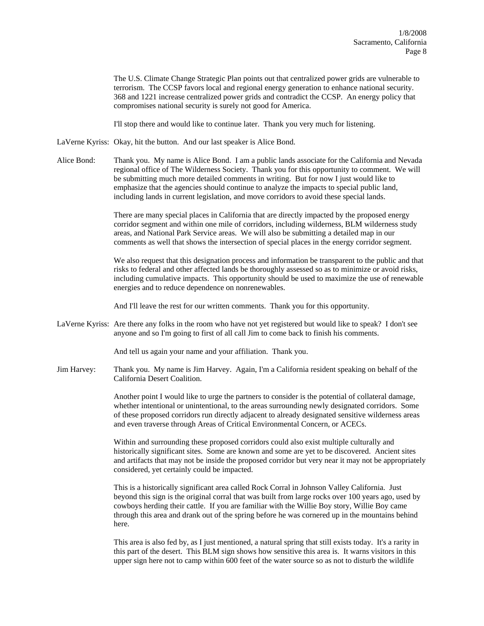The U.S. Climate Change Strategic Plan points out that centralized power grids are vulnerable to terrorism. The CCSP favors local and regional energy generation to enhance national security. 368 and 1221 increase centralized power grids and contradict the CCSP. An energy policy that compromises national security is surely not good for America.

I'll stop there and would like to continue later. Thank you very much for listening.

LaVerne Kyriss: Okay, hit the button. And our last speaker is Alice Bond.

Alice Bond: Thank you. My name is Alice Bond. I am a public lands associate for the California and Nevada regional office of The Wilderness Society. Thank you for this opportunity to comment. We will be submitting much more detailed comments in writing. But for now I just would like to emphasize that the agencies should continue to analyze the impacts to special public land, including lands in current legislation, and move corridors to avoid these special lands.

> There are many special places in California that are directly impacted by the proposed energy corridor segment and within one mile of corridors, including wilderness, BLM wilderness study areas, and National Park Service areas. We will also be submitting a detailed map in our comments as well that shows the intersection of special places in the energy corridor segment.

We also request that this designation process and information be transparent to the public and that risks to federal and other affected lands be thoroughly assessed so as to minimize or avoid risks, including cumulative impacts. This opportunity should be used to maximize the use of renewable energies and to reduce dependence on nonrenewables.

And I'll leave the rest for our written comments. Thank you for this opportunity.

LaVerne Kyriss: Are there any folks in the room who have not yet registered but would like to speak? I don't see anyone and so I'm going to first of all call Jim to come back to finish his comments.

And tell us again your name and your affiliation. Thank you.

Jim Harvey: Thank you. My name is Jim Harvey. Again, I'm a California resident speaking on behalf of the California Desert Coalition.

> Another point I would like to urge the partners to consider is the potential of collateral damage, whether intentional or unintentional, to the areas surrounding newly designated corridors. Some of these proposed corridors run directly adjacent to already designated sensitive wilderness areas and even traverse through Areas of Critical Environmental Concern, or ACECs.

Within and surrounding these proposed corridors could also exist multiple culturally and historically significant sites. Some are known and some are yet to be discovered. Ancient sites and artifacts that may not be inside the proposed corridor but very near it may not be appropriately considered, yet certainly could be impacted.

This is a historically significant area called Rock Corral in Johnson Valley California. Just beyond this sign is the original corral that was built from large rocks over 100 years ago, used by cowboys herding their cattle. If you are familiar with the Willie Boy story, Willie Boy came through this area and drank out of the spring before he was cornered up in the mountains behind here.

This area is also fed by, as I just mentioned, a natural spring that still exists today. It's a rarity in this part of the desert. This BLM sign shows how sensitive this area is. It warns visitors in this upper sign here not to camp within 600 feet of the water source so as not to disturb the wildlife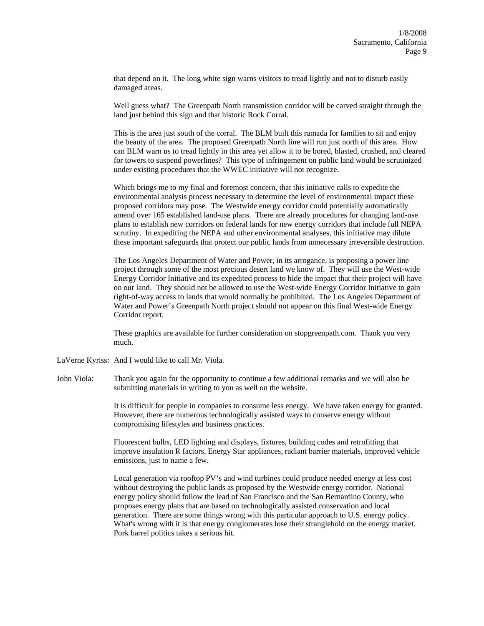that depend on it. The long white sign warns visitors to tread lightly and not to disturb easily damaged areas.

Well guess what? The Greenpath North transmission corridor will be carved straight through the land just behind this sign and that historic Rock Corral.

This is the area just south of the corral. The BLM built this ramada for families to sit and enjoy the beauty of the area. The proposed Greenpath North line will run just north of this area. How can BLM warn us to tread lightly in this area yet allow it to be bored, blasted, crushed, and cleared for towers to suspend powerlines? This type of infringement on public land would be scrutinized under existing procedures that the WWEC initiative will not recognize.

Which brings me to my final and foremost concern, that this initiative calls to expedite the environmental analysis process necessary to determine the level of environmental impact these proposed corridors may pose. The Westwide energy corridor could potentially automatically amend over 165 established land-use plans. There are already procedures for changing land-use plans to establish new corridors on federal lands for new energy corridors that include full NEPA scrutiny. In expediting the NEPA and other environmental analyses, this initiative may dilute these important safeguards that protect our public lands from unnecessary irreversible destruction.

The Los Angeles Department of Water and Power, in its arrogance, is proposing a power line project through some of the most precious desert land we know of. They will use the West-wide Energy Corridor Initiative and its expedited process to hide the impact that their project will have on our land. They should not be allowed to use the West-wide Energy Corridor Initiative to gain right-of-way access to lands that would normally be prohibited. The Los Angeles Department of Water and Power's Greenpath North project should not appear on this final West-wide Energy Corridor report.

These graphics are available for further consideration on stopgreenpath.com. Thank you very much.

- LaVerne Kyriss: And I would like to call Mr. Viola.
- John Viola: Thank you again for the opportunity to continue a few additional remarks and we will also be submitting materials in writing to you as well on the website.

It is difficult for people in companies to consume less energy. We have taken energy for granted. However, there are numerous technologically assisted ways to conserve energy without compromising lifestyles and business practices.

Fluorescent bulbs, LED lighting and displays, fixtures, building codes and retrofitting that improve insulation R factors, Energy Star appliances, radiant barrier materials, improved vehicle emissions, just to name a few.

Local generation via rooftop PV's and wind turbines could produce needed energy at less cost without destroying the public lands as proposed by the Westwide energy corridor. National energy policy should follow the lead of San Francisco and the San Bernardino County, who proposes energy plans that are based on technologically assisted conservation and local generation. There are some things wrong with this particular approach to U.S. energy policy. What's wrong with it is that energy conglomerates lose their stranglehold on the energy market. Pork barrel politics takes a serious hit.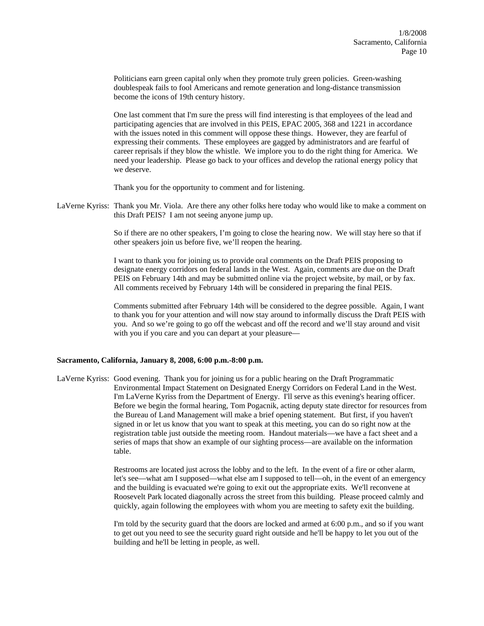Politicians earn green capital only when they promote truly green policies. Green-washing doublespeak fails to fool Americans and remote generation and long-distance transmission become the icons of 19th century history.

One last comment that I'm sure the press will find interesting is that employees of the lead and participating agencies that are involved in this PEIS, EPAC 2005, 368 and 1221 in accordance with the issues noted in this comment will oppose these things. However, they are fearful of expressing their comments. These employees are gagged by administrators and are fearful of career reprisals if they blow the whistle. We implore you to do the right thing for America. We need your leadership. Please go back to your offices and develop the rational energy policy that we deserve.

Thank you for the opportunity to comment and for listening.

LaVerne Kyriss: Thank you Mr. Viola. Are there any other folks here today who would like to make a comment on this Draft PEIS? I am not seeing anyone jump up.

> So if there are no other speakers, I'm going to close the hearing now. We will stay here so that if other speakers join us before five, we'll reopen the hearing.

I want to thank you for joining us to provide oral comments on the Draft PEIS proposing to designate energy corridors on federal lands in the West. Again, comments are due on the Draft PEIS on February 14th and may be submitted online via the project website, by mail, or by fax. All comments received by February 14th will be considered in preparing the final PEIS.

Comments submitted after February 14th will be considered to the degree possible. Again, I want to thank you for your attention and will now stay around to informally discuss the Draft PEIS with you. And so we're going to go off the webcast and off the record and we'll stay around and visit with you if you care and you can depart at your pleasure—

## **Sacramento, California, January 8, 2008, 6:00 p.m.-8:00 p.m.**

LaVerne Kyriss: Good evening. Thank you for joining us for a public hearing on the Draft Programmatic Environmental Impact Statement on Designated Energy Corridors on Federal Land in the West. I'm LaVerne Kyriss from the Department of Energy. I'll serve as this evening's hearing officer. Before we begin the formal hearing, Tom Pogacnik, acting deputy state director for resources from the Bureau of Land Management will make a brief opening statement. But first, if you haven't signed in or let us know that you want to speak at this meeting, you can do so right now at the registration table just outside the meeting room. Handout materials—we have a fact sheet and a series of maps that show an example of our sighting process—are available on the information table.

> Restrooms are located just across the lobby and to the left. In the event of a fire or other alarm, let's see—what am I supposed—what else am I supposed to tell—oh, in the event of an emergency and the building is evacuated we're going to exit out the appropriate exits. We'll reconvene at Roosevelt Park located diagonally across the street from this building. Please proceed calmly and quickly, again following the employees with whom you are meeting to safety exit the building.

> I'm told by the security guard that the doors are locked and armed at 6:00 p.m., and so if you want to get out you need to see the security guard right outside and he'll be happy to let you out of the building and he'll be letting in people, as well.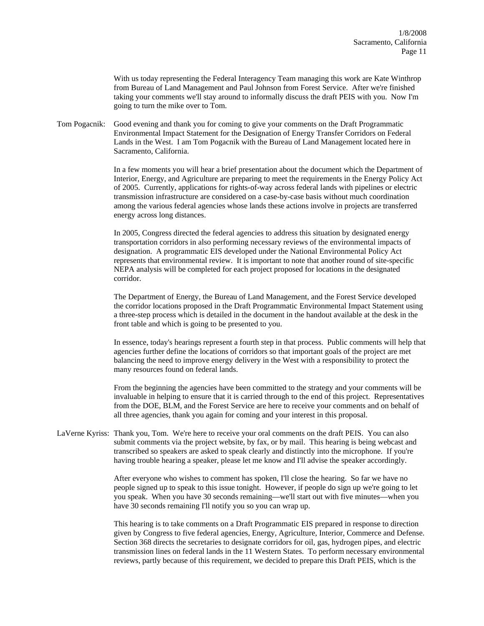With us today representing the Federal Interagency Team managing this work are Kate Winthrop from Bureau of Land Management and Paul Johnson from Forest Service. After we're finished taking your comments we'll stay around to informally discuss the draft PEIS with you. Now I'm going to turn the mike over to Tom.

Tom Pogacnik: Good evening and thank you for coming to give your comments on the Draft Programmatic Environmental Impact Statement for the Designation of Energy Transfer Corridors on Federal Lands in the West. I am Tom Pogacnik with the Bureau of Land Management located here in Sacramento, California.

> In a few moments you will hear a brief presentation about the document which the Department of Interior, Energy, and Agriculture are preparing to meet the requirements in the Energy Policy Act of 2005. Currently, applications for rights-of-way across federal lands with pipelines or electric transmission infrastructure are considered on a case-by-case basis without much coordination among the various federal agencies whose lands these actions involve in projects are transferred energy across long distances.

In 2005, Congress directed the federal agencies to address this situation by designated energy transportation corridors in also performing necessary reviews of the environmental impacts of designation. A programmatic EIS developed under the National Environmental Policy Act represents that environmental review. It is important to note that another round of site-specific NEPA analysis will be completed for each project proposed for locations in the designated corridor.

The Department of Energy, the Bureau of Land Management, and the Forest Service developed the corridor locations proposed in the Draft Programmatic Environmental Impact Statement using a three-step process which is detailed in the document in the handout available at the desk in the front table and which is going to be presented to you.

In essence, today's hearings represent a fourth step in that process. Public comments will help that agencies further define the locations of corridors so that important goals of the project are met balancing the need to improve energy delivery in the West with a responsibility to protect the many resources found on federal lands.

From the beginning the agencies have been committed to the strategy and your comments will be invaluable in helping to ensure that it is carried through to the end of this project. Representatives from the DOE, BLM, and the Forest Service are here to receive your comments and on behalf of all three agencies, thank you again for coming and your interest in this proposal.

LaVerne Kyriss: Thank you, Tom. We're here to receive your oral comments on the draft PEIS. You can also submit comments via the project website, by fax, or by mail. This hearing is being webcast and transcribed so speakers are asked to speak clearly and distinctly into the microphone. If you're having trouble hearing a speaker, please let me know and I'll advise the speaker accordingly.

> After everyone who wishes to comment has spoken, I'll close the hearing. So far we have no people signed up to speak to this issue tonight. However, if people do sign up we're going to let you speak. When you have 30 seconds remaining—we'll start out with five minutes—when you have 30 seconds remaining I'll notify you so you can wrap up.

This hearing is to take comments on a Draft Programmatic EIS prepared in response to direction given by Congress to five federal agencies, Energy, Agriculture, Interior, Commerce and Defense. Section 368 directs the secretaries to designate corridors for oil, gas, hydrogen pipes, and electric transmission lines on federal lands in the 11 Western States. To perform necessary environmental reviews, partly because of this requirement, we decided to prepare this Draft PEIS, which is the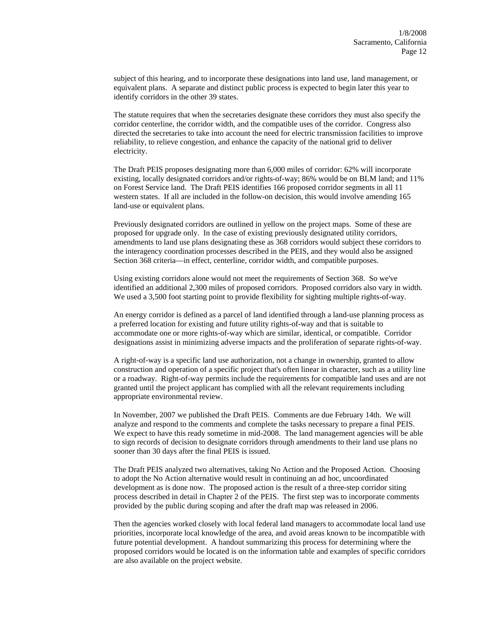subject of this hearing, and to incorporate these designations into land use, land management, or equivalent plans. A separate and distinct public process is expected to begin later this year to identify corridors in the other 39 states.

The statute requires that when the secretaries designate these corridors they must also specify the corridor centerline, the corridor width, and the compatible uses of the corridor. Congress also directed the secretaries to take into account the need for electric transmission facilities to improve reliability, to relieve congestion, and enhance the capacity of the national grid to deliver electricity.

The Draft PEIS proposes designating more than 6,000 miles of corridor: 62% will incorporate existing, locally designated corridors and/or rights-of-way; 86% would be on BLM land; and 11% on Forest Service land. The Draft PEIS identifies 166 proposed corridor segments in all 11 western states. If all are included in the follow-on decision, this would involve amending 165 land-use or equivalent plans.

Previously designated corridors are outlined in yellow on the project maps. Some of these are proposed for upgrade only. In the case of existing previously designated utility corridors, amendments to land use plans designating these as 368 corridors would subject these corridors to the interagency coordination processes described in the PEIS, and they would also be assigned Section 368 criteria—in effect, centerline, corridor width, and compatible purposes.

Using existing corridors alone would not meet the requirements of Section 368. So we've identified an additional 2,300 miles of proposed corridors. Proposed corridors also vary in width. We used a 3,500 foot starting point to provide flexibility for sighting multiple rights-of-way.

An energy corridor is defined as a parcel of land identified through a land-use planning process as a preferred location for existing and future utility rights-of-way and that is suitable to accommodate one or more rights-of-way which are similar, identical, or compatible. Corridor designations assist in minimizing adverse impacts and the proliferation of separate rights-of-way.

A right-of-way is a specific land use authorization, not a change in ownership, granted to allow construction and operation of a specific project that's often linear in character, such as a utility line or a roadway. Right-of-way permits include the requirements for compatible land uses and are not granted until the project applicant has complied with all the relevant requirements including appropriate environmental review.

In November, 2007 we published the Draft PEIS. Comments are due February 14th. We will analyze and respond to the comments and complete the tasks necessary to prepare a final PEIS. We expect to have this ready sometime in mid-2008. The land management agencies will be able to sign records of decision to designate corridors through amendments to their land use plans no sooner than 30 days after the final PEIS is issued.

The Draft PEIS analyzed two alternatives, taking No Action and the Proposed Action. Choosing to adopt the No Action alternative would result in continuing an ad hoc, uncoordinated development as is done now. The proposed action is the result of a three-step corridor siting process described in detail in Chapter 2 of the PEIS. The first step was to incorporate comments provided by the public during scoping and after the draft map was released in 2006.

Then the agencies worked closely with local federal land managers to accommodate local land use priorities, incorporate local knowledge of the area, and avoid areas known to be incompatible with future potential development. A handout summarizing this process for determining where the proposed corridors would be located is on the information table and examples of specific corridors are also available on the project website.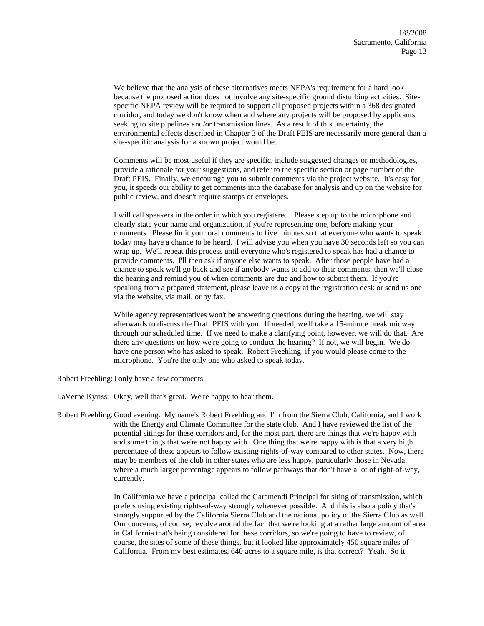We believe that the analysis of these alternatives meets NEPA's requirement for a hard look because the proposed action does not involve any site-specific ground disturbing activities. Sitespecific NEPA review will be required to support all proposed projects within a 368 designated corridor, and today we don't know when and where any projects will be proposed by applicants seeking to site pipelines and/or transmission lines. As a result of this uncertainty, the environmental effects described in Chapter 3 of the Draft PEIS are necessarily more general than a site-specific analysis for a known project would be.

Comments will be most useful if they are specific, include suggested changes or methodologies, provide a rationale for your suggestions, and refer to the specific section or page number of the Draft PEIS. Finally, we encourage you to submit comments via the project website. It's easy for you, it speeds our ability to get comments into the database for analysis and up on the website for public review, and doesn't require stamps or envelopes.

I will call speakers in the order in which you registered. Please step up to the microphone and clearly state your name and organization, if you're representing one, before making your comments. Please limit your oral comments to five minutes so that everyone who wants to speak today may have a chance to be heard. I will advise you when you have 30 seconds left so you can wrap up. We'll repeat this process until everyone who's registered to speak has had a chance to provide comments. I'll then ask if anyone else wants to speak. After those people have had a chance to speak we'll go back and see if anybody wants to add to their comments, then we'll close the hearing and remind you of when comments are due and how to submit them. If you're speaking from a prepared statement, please leave us a copy at the registration desk or send us one via the website, via mail, or by fax.

While agency representatives won't be answering questions during the hearing, we will stay afterwards to discuss the Draft PEIS with you. If needed, we'll take a 15-minute break midway through our scheduled time. If we need to make a clarifying point, however, we will do that. Are there any questions on how we're going to conduct the hearing? If not, we will begin. We do have one person who has asked to speak. Robert Freehling, if you would please come to the microphone. You're the only one who asked to speak today.

Robert Freehling: I only have a few comments.

LaVerne Kyriss: Okay, well that's great. We're happy to hear them.

Robert Freehling: Good evening. My name's Robert Freehling and I'm from the Sierra Club, California, and I work with the Energy and Climate Committee for the state club. And I have reviewed the list of the potential sitings for these corridors and, for the most part, there are things that we're happy with and some things that we're not happy with. One thing that we're happy with is that a very high percentage of these appears to follow existing rights-of-way compared to other states. Now, there may be members of the club in other states who are less happy, particularly those in Nevada, where a much larger percentage appears to follow pathways that don't have a lot of right-of-way, currently.

> In California we have a principal called the Garamendi Principal for siting of transmission, which prefers using existing rights-of-way strongly whenever possible. And this is also a policy that's strongly supported by the California Sierra Club and the national policy of the Sierra Club as well. Our concerns, of course, revolve around the fact that we're looking at a rather large amount of area in California that's being considered for these corridors, so we're going to have to review, of course, the sites of some of these things, but it looked like approximately 450 square miles of California. From my best estimates, 640 acres to a square mile, is that correct? Yeah. So it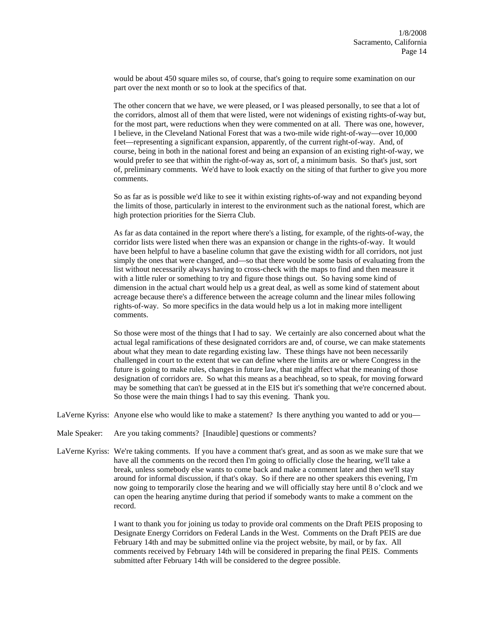would be about 450 square miles so, of course, that's going to require some examination on our part over the next month or so to look at the specifics of that.

The other concern that we have, we were pleased, or I was pleased personally, to see that a lot of the corridors, almost all of them that were listed, were not widenings of existing rights-of-way but, for the most part, were reductions when they were commented on at all. There was one, however, I believe, in the Cleveland National Forest that was a two-mile wide right-of-way—over 10,000 feet—representing a significant expansion, apparently, of the current right-of-way. And, of course, being in both in the national forest and being an expansion of an existing right-of-way, we would prefer to see that within the right-of-way as, sort of, a minimum basis. So that's just, sort of, preliminary comments. We'd have to look exactly on the siting of that further to give you more comments.

So as far as is possible we'd like to see it within existing rights-of-way and not expanding beyond the limits of those, particularly in interest to the environment such as the national forest, which are high protection priorities for the Sierra Club.

As far as data contained in the report where there's a listing, for example, of the rights-of-way, the corridor lists were listed when there was an expansion or change in the rights-of-way. It would have been helpful to have a baseline column that gave the existing width for all corridors, not just simply the ones that were changed, and—so that there would be some basis of evaluating from the list without necessarily always having to cross-check with the maps to find and then measure it with a little ruler or something to try and figure those things out. So having some kind of dimension in the actual chart would help us a great deal, as well as some kind of statement about acreage because there's a difference between the acreage column and the linear miles following rights-of-way. So more specifics in the data would help us a lot in making more intelligent comments.

So those were most of the things that I had to say. We certainly are also concerned about what the actual legal ramifications of these designated corridors are and, of course, we can make statements about what they mean to date regarding existing law. These things have not been necessarily challenged in court to the extent that we can define where the limits are or where Congress in the future is going to make rules, changes in future law, that might affect what the meaning of those designation of corridors are. So what this means as a beachhead, so to speak, for moving forward may be something that can't be guessed at in the EIS but it's something that we're concerned about. So those were the main things I had to say this evening. Thank you.

LaVerne Kyriss: Anyone else who would like to make a statement? Is there anything you wanted to add or you—

- Male Speaker: Are you taking comments? [Inaudible] questions or comments?
- LaVerne Kyriss: We're taking comments. If you have a comment that's great, and as soon as we make sure that we have all the comments on the record then I'm going to officially close the hearing, we'll take a break, unless somebody else wants to come back and make a comment later and then we'll stay around for informal discussion, if that's okay. So if there are no other speakers this evening, I'm now going to temporarily close the hearing and we will officially stay here until 8 o'clock and we can open the hearing anytime during that period if somebody wants to make a comment on the record.

I want to thank you for joining us today to provide oral comments on the Draft PEIS proposing to Designate Energy Corridors on Federal Lands in the West. Comments on the Draft PEIS are due February 14th and may be submitted online via the project website, by mail, or by fax. All comments received by February 14th will be considered in preparing the final PEIS. Comments submitted after February 14th will be considered to the degree possible.